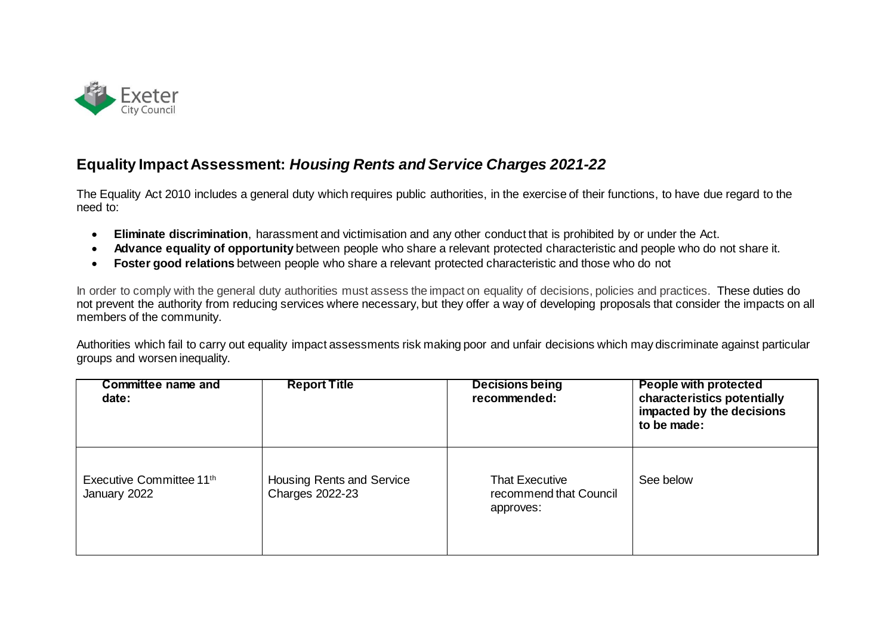

## **Equality Impact Assessment:** *Housing Rents and Service Charges 2021-22*

The Equality Act 2010 includes a general duty which requires public authorities, in the exercise of their functions, to have due regard to the need to:

- **Eliminate discrimination**, harassment and victimisation and any other conduct that is prohibited by or under the Act.
- **Advance equality of opportunity** between people who share a relevant protected characteristic and people who do not share it.
- **Foster good relations** between people who share a relevant protected characteristic and those who do not

In order to comply with the general duty authorities must assess the impact on equality of decisions, policies and practices. These duties do not prevent the authority from reducing services where necessary, but they offer a way of developing proposals that consider the impacts on all members of the community.

Authorities which fail to carry out equality impact assessments risk making poor and unfair decisions which may discriminate against particular groups and worsen inequality.

| <b>Committee name and</b><br>date:       | <b>Report Title</b>                                 | <b>Decisions being</b><br>recommended:                       | <b>People with protected</b><br>characteristics potentially<br>impacted by the decisions<br>to be made: |
|------------------------------------------|-----------------------------------------------------|--------------------------------------------------------------|---------------------------------------------------------------------------------------------------------|
| Executive Committee 11th<br>January 2022 | Housing Rents and Service<br><b>Charges 2022-23</b> | <b>That Executive</b><br>recommend that Council<br>approves: | See below                                                                                               |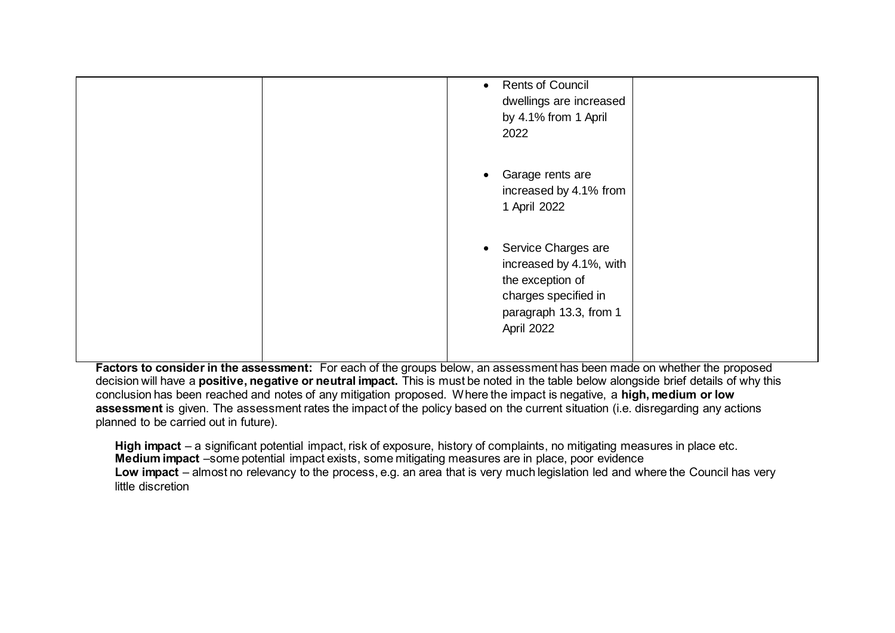| <b>Rents of Council</b><br>$\bullet$<br>dwellings are increased<br>by 4.1% from 1 April<br>2022                                                 |
|-------------------------------------------------------------------------------------------------------------------------------------------------|
| Garage rents are<br>increased by 4.1% from<br>1 April 2022                                                                                      |
| Service Charges are<br>$\bullet$<br>increased by 4.1%, with<br>the exception of<br>charges specified in<br>paragraph 13.3, from 1<br>April 2022 |

**Factors to consider in the assessment:** For each of the groups below, an assessment has been made on whether the proposed decision will have a **positive, negative or neutral impact.** This is must be noted in the table below alongside brief details of why this conclusion has been reached and notes of any mitigation proposed. Where the impact is negative, a **high, medium or low assessment** is given. The assessment rates the impact of the policy based on the current situation (i.e. disregarding any actions planned to be carried out in future).

**High impact** – a significant potential impact, risk of exposure, history of complaints, no mitigating measures in place etc. **Medium impact** –some potential impact exists, some mitigating measures are in place, poor evidence **Low impact** – almost no relevancy to the process, e.g. an area that is very much legislation led and where the Council has very little discretion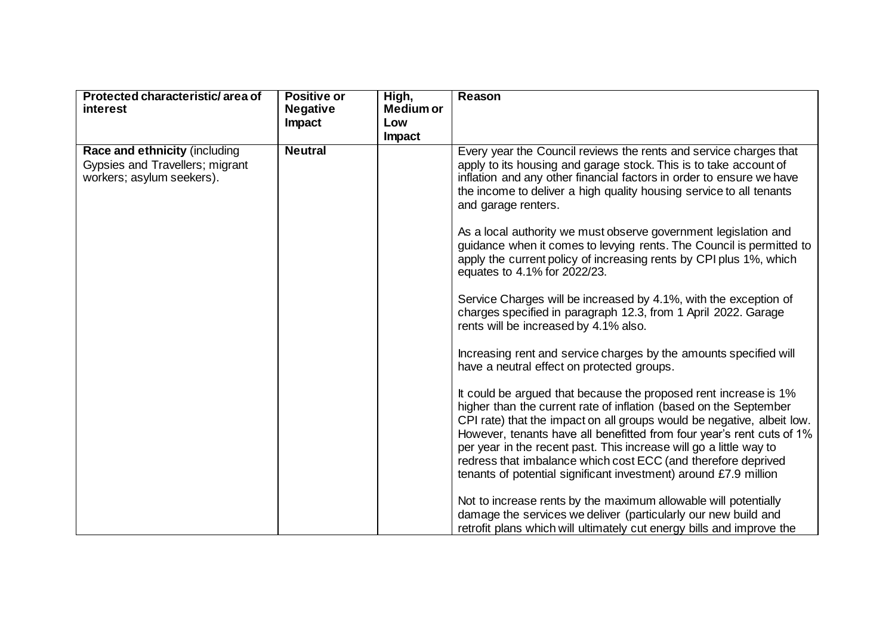| Protected characteristic/area of                             | <b>Positive or</b> | High,            | <b>Reason</b>                                                                                                                                                                                                                                                                                                                                                                                                                                                                                       |
|--------------------------------------------------------------|--------------------|------------------|-----------------------------------------------------------------------------------------------------------------------------------------------------------------------------------------------------------------------------------------------------------------------------------------------------------------------------------------------------------------------------------------------------------------------------------------------------------------------------------------------------|
| <i>interest</i>                                              | <b>Negative</b>    | <b>Medium or</b> |                                                                                                                                                                                                                                                                                                                                                                                                                                                                                                     |
|                                                              | Impact             | Low              |                                                                                                                                                                                                                                                                                                                                                                                                                                                                                                     |
|                                                              |                    | Impact           |                                                                                                                                                                                                                                                                                                                                                                                                                                                                                                     |
| <b>Race and ethnicity (including</b>                         | <b>Neutral</b>     |                  | Every year the Council reviews the rents and service charges that                                                                                                                                                                                                                                                                                                                                                                                                                                   |
| Gypsies and Travellers; migrant<br>workers; asylum seekers). |                    |                  | apply to its housing and garage stock. This is to take account of<br>inflation and any other financial factors in order to ensure we have<br>the income to deliver a high quality housing service to all tenants<br>and garage renters.                                                                                                                                                                                                                                                             |
|                                                              |                    |                  | As a local authority we must observe government legislation and<br>guidance when it comes to levying rents. The Council is permitted to<br>apply the current policy of increasing rents by CPI plus 1%, which<br>equates to 4.1% for 2022/23.                                                                                                                                                                                                                                                       |
|                                                              |                    |                  | Service Charges will be increased by 4.1%, with the exception of<br>charges specified in paragraph 12.3, from 1 April 2022. Garage<br>rents will be increased by 4.1% also.                                                                                                                                                                                                                                                                                                                         |
|                                                              |                    |                  | Increasing rent and service charges by the amounts specified will<br>have a neutral effect on protected groups.                                                                                                                                                                                                                                                                                                                                                                                     |
|                                                              |                    |                  | It could be argued that because the proposed rent increase is 1%<br>higher than the current rate of inflation (based on the September<br>CPI rate) that the impact on all groups would be negative, albeit low.<br>However, tenants have all benefitted from four year's rent cuts of 1%<br>per year in the recent past. This increase will go a little way to<br>redress that imbalance which cost ECC (and therefore deprived<br>tenants of potential significant investment) around £7.9 million |
|                                                              |                    |                  | Not to increase rents by the maximum allowable will potentially<br>damage the services we deliver (particularly our new build and<br>retrofit plans which will ultimately cut energy bills and improve the                                                                                                                                                                                                                                                                                          |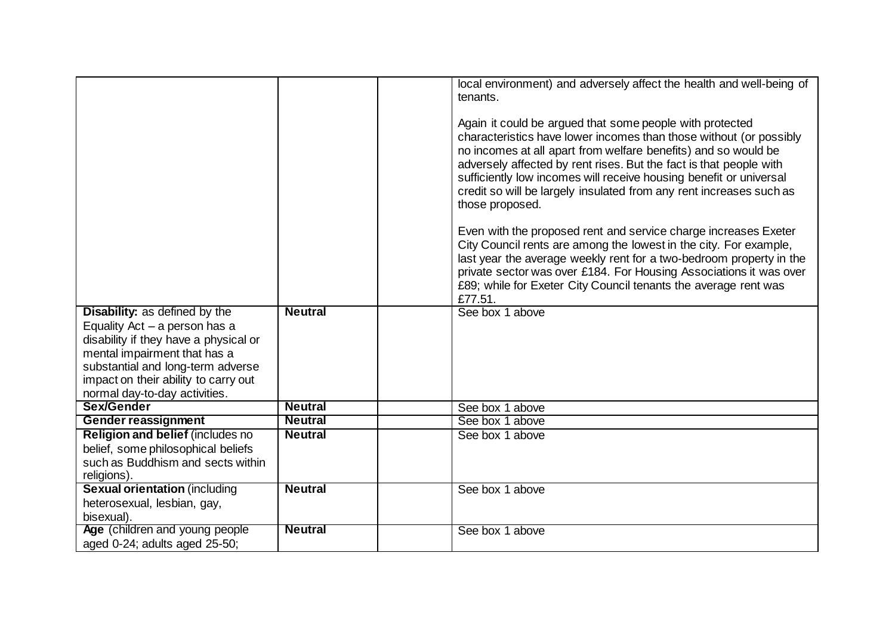|                                                                                                                                                                                       |                | local environment) and adversely affect the health and well-being of<br>tenants.<br>Again it could be argued that some people with protected<br>characteristics have lower incomes than those without (or possibly<br>no incomes at all apart from welfare benefits) and so would be<br>adversely affected by rent rises. But the fact is that people with<br>sufficiently low incomes will receive housing benefit or universal<br>credit so will be largely insulated from any rent increases such as<br>those proposed.<br>Even with the proposed rent and service charge increases Exeter<br>City Council rents are among the lowest in the city. For example,<br>last year the average weekly rent for a two-bedroom property in the<br>private sector was over £184. For Housing Associations it was over<br>£89; while for Exeter City Council tenants the average rent was<br>£77.51. |
|---------------------------------------------------------------------------------------------------------------------------------------------------------------------------------------|----------------|-----------------------------------------------------------------------------------------------------------------------------------------------------------------------------------------------------------------------------------------------------------------------------------------------------------------------------------------------------------------------------------------------------------------------------------------------------------------------------------------------------------------------------------------------------------------------------------------------------------------------------------------------------------------------------------------------------------------------------------------------------------------------------------------------------------------------------------------------------------------------------------------------|
| <b>Disability:</b> as defined by the<br>Equality Act $-$ a person has a<br>disability if they have a physical or<br>mental impairment that has a<br>substantial and long-term adverse | <b>Neutral</b> | See box 1 above                                                                                                                                                                                                                                                                                                                                                                                                                                                                                                                                                                                                                                                                                                                                                                                                                                                                               |
| impact on their ability to carry out<br>normal day-to-day activities.                                                                                                                 |                |                                                                                                                                                                                                                                                                                                                                                                                                                                                                                                                                                                                                                                                                                                                                                                                                                                                                                               |
| Sex/Gender                                                                                                                                                                            | <b>Neutral</b> | See box 1 above                                                                                                                                                                                                                                                                                                                                                                                                                                                                                                                                                                                                                                                                                                                                                                                                                                                                               |
| <b>Gender reassignment</b>                                                                                                                                                            | <b>Neutral</b> | See box 1 above                                                                                                                                                                                                                                                                                                                                                                                                                                                                                                                                                                                                                                                                                                                                                                                                                                                                               |
| Religion and belief (includes no                                                                                                                                                      | <b>Neutral</b> | See box 1 above                                                                                                                                                                                                                                                                                                                                                                                                                                                                                                                                                                                                                                                                                                                                                                                                                                                                               |
| belief, some philosophical beliefs                                                                                                                                                    |                |                                                                                                                                                                                                                                                                                                                                                                                                                                                                                                                                                                                                                                                                                                                                                                                                                                                                                               |
| such as Buddhism and sects within<br>religions).                                                                                                                                      |                |                                                                                                                                                                                                                                                                                                                                                                                                                                                                                                                                                                                                                                                                                                                                                                                                                                                                                               |
| <b>Sexual orientation (including</b>                                                                                                                                                  | <b>Neutral</b> | See box 1 above                                                                                                                                                                                                                                                                                                                                                                                                                                                                                                                                                                                                                                                                                                                                                                                                                                                                               |
| heterosexual, lesbian, gay,                                                                                                                                                           |                |                                                                                                                                                                                                                                                                                                                                                                                                                                                                                                                                                                                                                                                                                                                                                                                                                                                                                               |
| bisexual).                                                                                                                                                                            |                |                                                                                                                                                                                                                                                                                                                                                                                                                                                                                                                                                                                                                                                                                                                                                                                                                                                                                               |
| Age (children and young people)                                                                                                                                                       | <b>Neutral</b> | See box 1 above                                                                                                                                                                                                                                                                                                                                                                                                                                                                                                                                                                                                                                                                                                                                                                                                                                                                               |
| aged 0-24; adults aged 25-50;                                                                                                                                                         |                |                                                                                                                                                                                                                                                                                                                                                                                                                                                                                                                                                                                                                                                                                                                                                                                                                                                                                               |